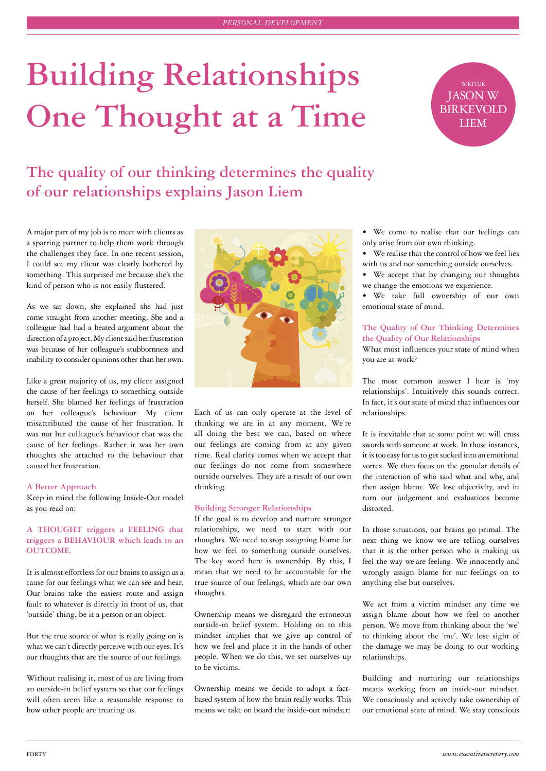# **Building Relationships One Thought at a Time**



# **The quality of our thinking determines the quality of our relationships explains Jason Liem**

A major part of my job is to meet with clients as a sparring partner to help them work through the challenges they face. In one recent session, I could see my client was clearly bothered by something. This surprised me because she's the kind of person who is not easily flustered.

As we sat down, she explained she had just come straight from another meeting. She and a colleague had had a heated argument about the direction of a project. My client said her frustration was because of her colleague's stubbornness and inability to consider opinions other than her own.

Like a great majority of us, my client assigned the cause of her feelings to something outside herself. She blamed her feelings of frustration on her colleague's behaviour. My client misattributed the cause of her frustration. It was not her colleague's behaviour that was the cause of her feelings. Rather it was her own thoughts she attached to the behaviour that caused her frustration.

# **A Better Approach**

Keep in mind the following Inside-Out model as you read on:

# **A THOUGHT triggers a FEELING that triggers a BEHAVIOUR which leads to an OUTCOME.**

It is almost effortless for our brains to assign as a cause for our feelings what we can see and hear. Our brains take the easiest route and assign fault to whatever is directly in front of us, that 'outside' thing, be it a person or an object.

But the true source of what is really going on is what we can't directly perceive with our eyes. It's our thoughts that are the source of our feelings.

Without realising it, most of us are living from an outside-in belief system so that our feelings will often seem like a reasonable response to how other people are treating us.



Each of us can only operate at the level of thinking we are in at any moment. We're all doing the best we can, based on where our feelings are coming from at any given time. Real clarity comes when we accept that our feelings do not come from somewhere outside ourselves. They are a result of our own thinking.

#### **Building Stronger Relationships**

If the goal is to develop and nurture stronger relationships, we need to start with our thoughts. We need to stop assigning blame for how we feel to something outside ourselves. The key word here is ownership. By this, I mean that we need to be accountable for the true source of our feelings, which are our own thoughts.

Ownership means we disregard the erroneous outside-in belief system. Holding on to this mindset implies that we give up control of how we feel and place it in the hands of other people. When we do this, we set ourselves up to be victims.

Ownership means we decide to adopt a factbased system of how the brain really works. This means we take on board the inside-out mindset:

• We come to realise that our feelings can only arise from our own thinking.

- We realise that the control of how we feel lies with us and not something outside ourselves.
- We accept that by changing our thoughts we change the emotions we experience.

• We take full ownership of our own emotional state of mind.

# **The Quality of Our Thinking Determines the Quality of Our Relationships**

What most influences your state of mind when you are at work?

The most common answer I hear is 'my relationships'. Intuitively this sounds correct. In fact, it's our state of mind that influences our relationships.

It is inevitable that at some point we will cross swords with someone at work. In those instances, it is too easy for us to get sucked into an emotional vortex. We then focus on the granular details of the interaction of who said what and why, and then assign blame. We lose objectivity, and in turn our judgement and evaluations become distorted.

In those situations, our brains go primal. The next thing we know we are telling ourselves that it is the other person who is making us feel the way we are feeling. We innocently and wrongly assign blame for our feelings on to anything else but ourselves.

We act from a victim mindset any time we assign blame about how we feel to another person. We move from thinking about the 'we' to thinking about the 'me'. We lose sight of the damage we may be doing to our working relationships.

Building and nurturing our relationships means working from an inside-out mindset. We consciously and actively take ownership of our emotional state of mind. We stay conscious